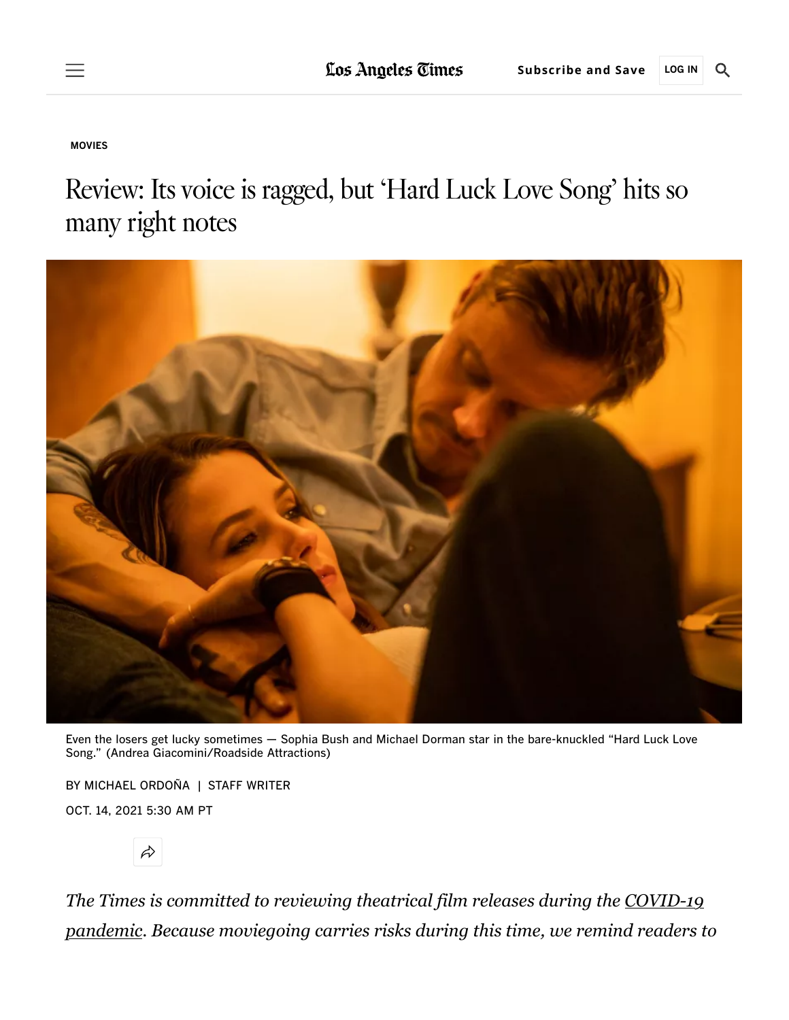Q

**[MOVIES](https://www.latimes.com/entertainment-arts/movies)**

 $=$ 

## Review: Its voice is ragged, but 'Hard Luck Love Song' hits so many right notes



Even the losers get lucky sometimes — Sophia Bush and Michael Dorman star in the bare-knuckled "Hard Luck Love Song." (Andrea Giacomini/Roadside Attractions)

BY [MICHAEL ORDOÑA](https://www.latimes.com/people/michael-ordona) | STAFF WRITER OCT. 14, 2021 5:30 AM PT



*The Times is committed to reviewing theatrical film releases during the COVID-19 pandemic. Because moviegoing carries risks during this time, we remind readers to*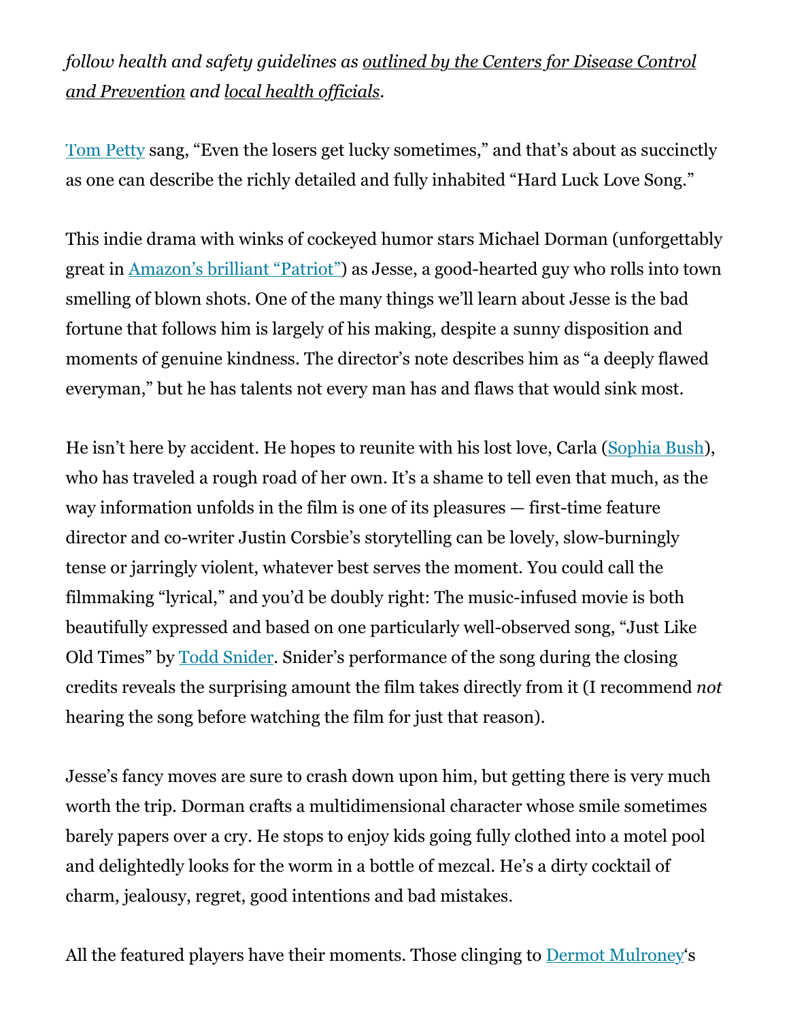*follow health and safety guidelines as outlined by the Centers for Disease Control and Prevention and local health officials.*

[Tom Petty](https://www.youtube.com/watch?v=U0el_8ZKw7w&t=14s&ab_channel=FarmAid) sang, "Even the losers get lucky sometimes," and that's about as succinctly as one can describe the richly detailed and fully inhabited "Hard Luck Love Song."

This indie drama with winks of cockeyed humor stars Michael Dorman (unforgettably great in [Amazon's brilliant "Patriot"\)](https://www.latimes.com/entertainment/tv/la-et-st-patriot-amazon-best-show-you-do-not-know-20190401-story.html) as Jesse, a good-hearted guy who rolls into town smelling of blown shots. One of the many things we'll learn about Jesse is the bad fortune that follows him is largely of his making, despite a sunny disposition and moments of genuine kindness. The director's note describes him as "a deeply flawed everyman," but he has talents not every man has and flaws that would sink most.

He isn't here by accident. He hopes to reunite with his lost love, Carla ([Sophia Bush\)](https://www.latimes.com/fashion/la-xpm-2013-apr-14-la-ar-katy-perry-sophia-bush-and-more-at-harpers-bazaar-coachella-party-20130413-story.html), who has traveled a rough road of her own. It's a shame to tell even that much, as the way information unfolds in the film is one of its pleasures — first-time feature director and co-writer Justin Corsbie's storytelling can be lovely, slow-burningly tense or jarringly violent, whatever best serves the moment. You could call the filmmaking "lyrical," and you'd be doubly right: The music-infused movie is both beautifully expressed and based on one particularly well-observed song, "Just Like Old Times" by [Todd Snider](https://www.youtube.com/watch?v=F5hlil50vi4). Snider's performance of the song during the closing credits reveals the surprising amount the film takes directly from it (I recommend *not* hearing the song before watching the film for just that reason).

Jesse's fancy moves are sure to crash down upon him, but getting there is very much worth the trip. Dorman crafts a multidimensional character whose smile sometimes barely papers over a cry. He stops to enjoy kids going fully clothed into a motel pool and delightedly looks for the worm in a bottle of mezcal. He's a dirty cocktail of charm, jealousy, regret, good intentions and bad mistakes.

All the featured players have their moments. Those clinging to [Dermot Mulroney](https://www.latimes.com/archives/la-xpm-2010-oct-21-la-et-performancebox-20101021-story.html)'s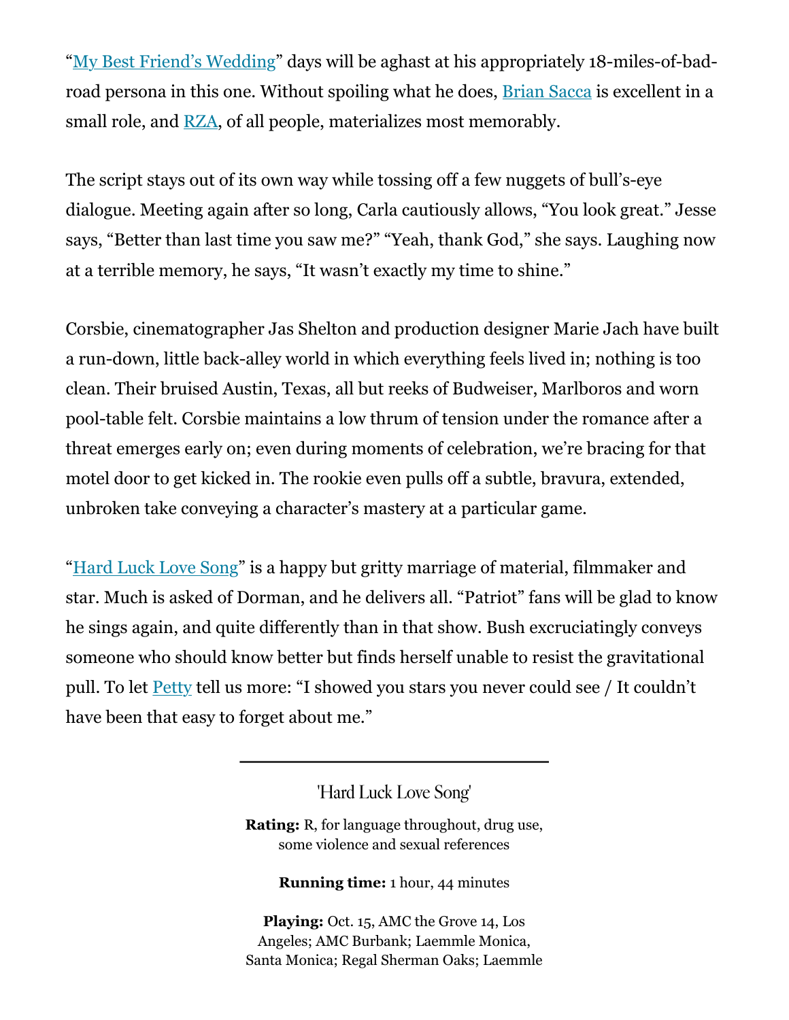"[My Best Friend's Wedding](https://www.latimes.com/archives/la-xpm-1998-jun-07-tv-57339-story.html)" days will be aghast at his appropriately 18-miles-of-badroad persona in this one. Without spoiling what he does, [Brian Sacca](https://www.latimes.com/entertainment-arts/movies/story/2020-02-13/buffaloed-review-zoey-deutch) is excellent in a small role, and [RZA](https://www.latimes.com/archives/la-xpm-2010-jan-03-la-ca-rza3-2010jan03-story.html), of all people, materializes most memorably.

The script stays out of its own way while tossing off a few nuggets of bull's-eye dialogue. Meeting again after so long, Carla cautiously allows, "You look great." Jesse says, "Better than last time you saw me?" "Yeah, thank God," she says. Laughing now at a terrible memory, he says, "It wasn't exactly my time to shine."

Corsbie, cinematographer Jas Shelton and production designer Marie Jach have built a run-down, little back-alley world in which everything feels lived in; nothing is too clean. Their bruised Austin, Texas, all but reeks of Budweiser, Marlboros and worn pool-table felt. Corsbie maintains a low thrum of tension under the romance after a threat emerges early on; even during moments of celebration, we're bracing for that motel door to get kicked in. The rookie even pulls off a subtle, bravura, extended, unbroken take conveying a character's mastery at a particular game.

"[Hard Luck Love Song](https://www.youtube.com/watch?v=lP5OX-zEgrw)" is a happy but gritty marriage of material, filmmaker and star. Much is asked of Dorman, and he delivers all. "Patriot" fans will be glad to know he sings again, and quite differently than in that show. Bush excruciatingly conveys someone who should know better but finds herself unable to resist the gravitational pull. To let [Petty](https://www.latimes.com/entertainment/music/la-et-ms-tom-petty-the-final-interview-20171004-story.html) tell us more: "I showed you stars you never could see / It couldn't have been that easy to forget about me."

'Hard Luck Love Song'

**Rating:** R, for language throughout, drug use, some violence and sexual references

**Running time:** 1 hour, 44 minutes

**Playing:** Oct. 15, AMC the Grove 14, Los Angeles; AMC Burbank; Laemmle Monica, Santa Monica; Regal Sherman Oaks; Laemmle